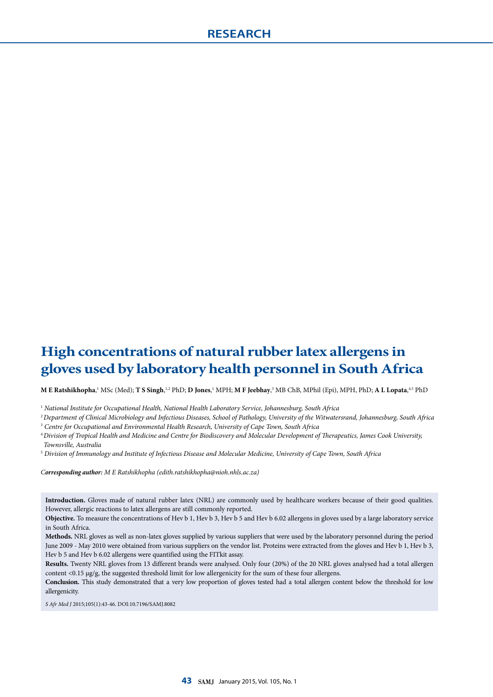# **High concentrations of natural rubber latex allergens in gloves used by laboratory health personnel in South Africa**

 $\bf{M}$  **E Ratshikhopha,'** MSc (Med);  $\bf{T}$  **S Singh,'**.<sup>2</sup> PhD;  $\bf{D}$  Jones,' MPH;  $\bf{M}$  **F Jeebhay**,<sup>3</sup> MB ChB, MPhil (Epi), MPH, PhD;  $\bf{A}$   $\bf{L}$  Lopata,<sup>4,5</sup> PhD

<sup>1</sup> *National Institute for Occupational Health, National Health Laboratory Service, Johannesburg, South Africa*

<sup>2</sup>*Department of Clinical Microbiology and Infectious Diseases, School of Pathology, University of the Witwatersrand, Johannesburg, South Africa* <sup>3</sup> *Centre for Occupational and Environmental Health Research, University of Cape Town, South Africa*

<sup>4</sup>*Division of Tropical Health and Medicine and Centre for Biodiscovery and Molecular Development of Therapeutics, James Cook University, Townsville, Australia*

5  *Division of Immunology and Institute of Infectious Disease and Molecular Medicine, University of Cape Town, South Africa*

*Corresponding author: M E Ratshikhopha (edith.ratshikhopha@nioh.nhls.ac.za)*

**Introduction.** Gloves made of natural rubber latex (NRL) are commonly used by healthcare workers because of their good qualities. However, allergic reactions to latex allergens are still commonly reported.

**Objective.** To measure the concentrations of Hev b 1, Hev b 3, Hev b 5 and Hev b 6.02 allergens in gloves used by a large laboratory service in South Africa.

**Methods.** NRL gloves as well as non-latex gloves supplied by various suppliers that were used by the laboratory personnel during the period June 2009 - May 2010 were obtained from various suppliers on the vendor list. Proteins were extracted from the gloves and Hev b 1, Hev b 3, Hev b 5 and Hev b 6.02 allergens were quantified using the FITkit assay.

**Results.** Twenty NRL gloves from 13 different brands were analysed. Only four (20%) of the 20 NRL gloves analysed had a total allergen content <0.15 µg/g, the suggested threshold limit for low allergenicity for the sum of these four allergens.

**Conclusion.** This study demonstrated that a very low proportion of gloves tested had a total allergen content below the threshold for low allergenicity.

*S Afr Med J* 2015;105(1):43-46. DOI:10.7196/SAMJ.8082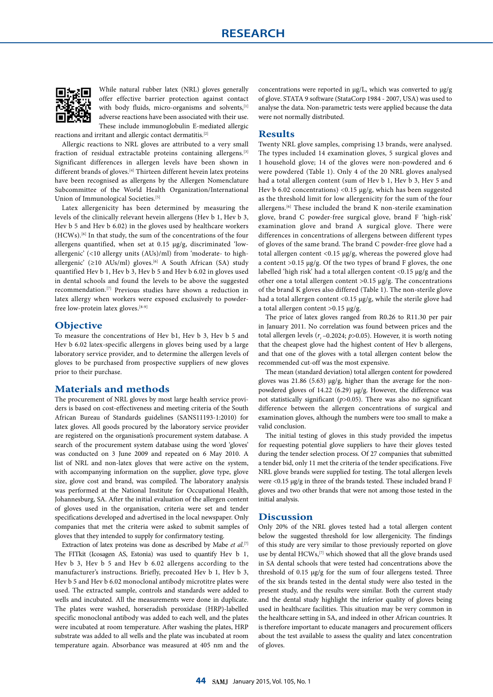

While natural rubber latex (NRL) gloves generally offer effective barrier protection against contact with body fluids, micro-organisms and solvents, [1] adverse reactions have been associated with their use. These include immunoglobulin E-mediated allergic

reactions and irritant and allergic contact dermatitis.[2] Allergic reactions to NRL gloves are attributed to a very small

fraction of residual extractable proteins containing allergens.<sup>[3]</sup> Significant differences in allergen levels have been shown in different brands of gloves.<sup>[4]</sup> Thirteen different hevein latex proteins have been recognised as allergens by the Allergen Nomenclature Subcommittee of the World Health Organization/International Union of Immunological Societies.[5]

Latex allergenicity has been determined by measuring the levels of the clinically relevant hevein allergens (Hev b 1, Hev b 3, Hev b 5 and Hev b 6.02) in the gloves used by healthcare workers (HCWs).[6] In that study, the sum of the concentrations of the four allergens quantified, when set at 0.15 µg/g, discriminated 'lowallergenic' (<10 allergy units (AUs)/ml) from 'moderate- to highallergenic' (≥10 AUs/ml) gloves.<sup>[6]</sup> A South African (SA) study quantified Hev b 1, Hev b 3, Hev b 5 and Hev b 6.02 in gloves used in dental schools and found the levels to be above the suggested recommendation.[7] Previous studies have shown a reduction in latex allergy when workers were exposed exclusively to powderfree low-protein latex gloves.[8-9]

## **Objective**

To measure the concentrations of Hev b1, Hev b 3, Hev b 5 and Hev b 6.02 latex-specific allergens in gloves being used by a large laboratory service provider, and to determine the allergen levels of gloves to be purchased from prospective suppliers of new gloves prior to their purchase.

### **Materials and methods**

The procurement of NRL gloves by most large health service providers is based on cost-effectiveness and meeting criteria of the South African Bureau of Standards guidelines (SANS11193-1:2010) for latex gloves. All goods procured by the laboratory service provider are registered on the organisation's procurement system database. A search of the procurement system database using the word 'gloves' was conducted on 3 June 2009 and repeated on 6 May 2010. A list of NRL and non-latex gloves that were active on the system, with accompanying information on the supplier, glove type, glove size, glove cost and brand, was compiled. The laboratory analysis was performed at the National Institute for Occupational Health, Johannesburg, SA. After the initial evaluation of the allergen content of gloves used in the organisation, criteria were set and tender specifications developed and advertised in the local newspaper. Only companies that met the criteria were asked to submit samples of gloves that they intended to supply for confirmatory testing.

Extraction of latex proteins was done as described by Mabe *et al.*<sup>[7]</sup> The FITkit (Icosagen AS, Estonia) was used to quantify Hev b 1, Hev b 3, Hev b 5 and Hev b 6.02 allergens according to the manufacturer's instructions. Briefly, precoated Hev b 1, Hev b 3, Hev b 5 and Hev b 6.02 monoclonal antibody microtitre plates were used. The extracted sample, controls and standards were added to wells and incubated. All the measurements were done in duplicate. The plates were washed, horseradish peroxidase (HRP)-labelled specific monoclonal antibody was added to each well, and the plates were incubated at room temperature. After washing the plates, HRP substrate was added to all wells and the plate was incubated at room temperature again. Absorbance was measured at 405 nm and the concentrations were reported in µg/L, which was converted to µg/g of glove. STATA 9 software (StataCorp 1984 - 2007, USA) was used to analyse the data. Non-parametric tests were applied because the data were not normally distributed.

#### **Results**

Twenty NRL glove samples, comprising 13 brands, were analysed. The types included 14 examination gloves, 5 surgical gloves and 1 household glove; 14 of the gloves were non-powdered and 6 were powdered (Table 1). Only 4 of the 20 NRL gloves analysed had a total allergen content (sum of Hev b 1, Hev b 3, Hev 5 and Hev b 6.02 concentrations) <0.15  $\mu$ g/g, which has been suggested as the threshold limit for low allergenicity for the sum of the four allergens.[6] These included the brand K non-sterile examination glove, brand C powder-free surgical glove, brand F 'high-risk' examination glove and brand A surgical glove. There were differences in concentrations of allergens between different types of gloves of the same brand. The brand C powder-free glove had a total allergen content <0.15 µg/g, whereas the powered glove had a content  $>0.15$  µg/g. Of the two types of brand F gloves, the one labelled 'high risk' had a total allergen content <0.15 µg/g and the other one a total allergen content >0.15 µg/g. The concentrations of the brand K gloves also differed (Table 1). The non-sterile glove had a total allergen content <0.15 µg/g, while the sterile glove had a total allergen content >0.15 µg/g.

The price of latex gloves ranged from R0.26 to R11.30 per pair in January 2011. No correlation was found between prices and the total allergen levels  $(r_s - 0.2024; p > 0.05)$ . However, it is worth noting that the cheapest glove had the highest content of Hev b allergens, and that one of the gloves with a total allergen content below the recommended cut-off was the most expensive.

The mean (standard deviation) total allergen content for powdered gloves was 21.86 (5.63) µg/g, higher than the average for the nonpowdered gloves of 14.22 (6.29) µg/g. However, the difference was not statistically significant (*p*>0.05). There was also no significant difference between the allergen concentrations of surgical and examination gloves, although the numbers were too small to make a valid conclusion.

The initial testing of gloves in this study provided the impetus for requesting potential glove suppliers to have their gloves tested during the tender selection process. Of 27 companies that submitted a tender bid, only 11 met the criteria of the tender specifications. Five NRL glove brands were supplied for testing. The total allergen levels were <0.15 µg/g in three of the brands tested. These included brand F gloves and two other brands that were not among those tested in the initial analysis.

### **Discussion**

Only 20% of the NRL gloves tested had a total allergen content below the suggested threshold for low allergenicity. The findings of this study are very similar to those previously reported on glove use by dental HCWs,<sup>[7]</sup> which showed that all the glove brands used in SA dental schools that were tested had concentrations above the threshold of 0.15 µg/g for the sum of four allergens tested. Three of the six brands tested in the dental study were also tested in the present study, and the results were similar. Both the current study and the dental study highlight the inferior quality of gloves being used in healthcare facilities. This situation may be very common in the healthcare setting in SA, and indeed in other African countries. It is therefore important to educate managers and procurement officers about the test available to assess the quality and latex concentration of gloves.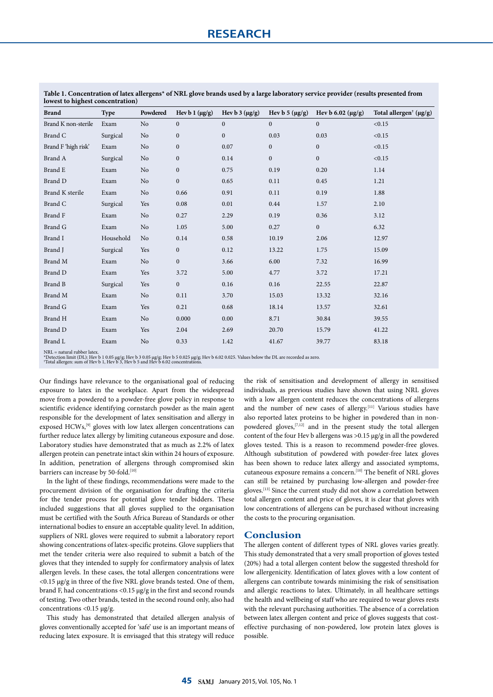| TOWEST to highest concentration) |             |                |                     |                     |                     |                           |                                    |
|----------------------------------|-------------|----------------|---------------------|---------------------|---------------------|---------------------------|------------------------------------|
| <b>Brand</b>                     | <b>Type</b> | Powdered       | Hev b 1 $(\mu g/g)$ | Hev b $3 (\mu g/g)$ | Hev b 5 $(\mu g/g)$ | Hev b $6.02 \, (\mu g/g)$ | Total allergen <sup>†</sup> (µg/g) |
| Brand K non-sterile              | Exam        | N <sub>o</sub> | $\boldsymbol{0}$    | $\boldsymbol{0}$    | $\overline{0}$      | $\boldsymbol{0}$          | < 0.15                             |
| Brand C                          | Surgical    | No             | $\boldsymbol{0}$    | $\boldsymbol{0}$    | 0.03                | 0.03                      | < 0.15                             |
| Brand F 'high risk'              | Exam        | No             | $\mathbf{0}$        | 0.07                | $\mathbf{0}$        | $\boldsymbol{0}$          | < 0.15                             |
| Brand A                          | Surgical    | No             | $\boldsymbol{0}$    | 0.14                | $\boldsymbol{0}$    | $\boldsymbol{0}$          | < 0.15                             |
| Brand E                          | Exam        | N <sub>o</sub> | $\boldsymbol{0}$    | 0.75                | 0.19                | 0.20                      | 1.14                               |
| Brand D                          | Exam        | N <sub>o</sub> | $\boldsymbol{0}$    | 0.65                | 0.11                | 0.45                      | 1.21                               |
| Brand K sterile                  | Exam        | No             | 0.66                | 0.91                | 0.11                | 0.19                      | 1.88                               |
| Brand C                          | Surgical    | Yes            | 0.08                | 0.01                | 0.44                | 1.57                      | 2.10                               |
| Brand F                          | Exam        | N <sub>o</sub> | 0.27                | 2.29                | 0.19                | 0.36                      | 3.12                               |
| <b>Brand G</b>                   | Exam        | N <sub>o</sub> | 1.05                | 5.00                | 0.27                | $\boldsymbol{0}$          | 6.32                               |
| Brand I                          | Household   | N <sub>o</sub> | 0.14                | 0.58                | 10.19               | 2.06                      | 12.97                              |
| Brand J                          | Surgical    | Yes            | $\boldsymbol{0}$    | 0.12                | 13.22               | 1.75                      | 15.09                              |
| Brand M                          | Exam        | N <sub>o</sub> | $\boldsymbol{0}$    | 3.66                | 6.00                | 7.32                      | 16.99                              |
| Brand D                          | Exam        | Yes            | 3.72                | 5.00                | 4.77                | 3.72                      | 17.21                              |
| <b>Brand B</b>                   | Surgical    | Yes            | $\mathbf{0}$        | 0.16                | 0.16                | 22.55                     | 22.87                              |
| Brand M                          | Exam        | N <sub>o</sub> | 0.11                | 3.70                | 15.03               | 13.32                     | 32.16                              |
| Brand G                          | Exam        | Yes            | 0.21                | 0.68                | 18.14               | 13.57                     | 32.61                              |
| Brand H                          | Exam        | N <sub>o</sub> | 0.000               | 0.00                | 8.71                | 30.84                     | 39.55                              |
| Brand D                          | Exam        | Yes            | 2.04                | 2.69                | 20.70               | 15.79                     | 41.22                              |
| Brand L                          | Exam        | No             | 0.33                | 1.42                | 41.67               | 39.77                     | 83.18                              |

**Table 1. Concentration of latex allergens\* of NRL glove brands used by a large laboratory service provider (results presented from lowest to highest concentration)**

NRL = natural rubber latex.

\*Detection limit (DL): Hev b 1 0.05 µg/g; Hev b 3 0.05 µg/g; Hev b 5 0.025 µg/g; Hev b 6.02 0.025. Values below the DL are recorded as zero. † Total allergen: sum of Hev b 1, Hev b 3, Hev b 5 and Hev b 6.02 concentrations.

Our findings have relevance to the organisational goal of reducing exposure to latex in the workplace. Apart from the widespread move from a powdered to a powder-free glove policy in response to scientific evidence identifying cornstarch powder as the main agent responsible for the development of latex sensitisation and allergy in exposed HCWs,<sup>[9]</sup> gloves with low latex allergen concentrations can further reduce latex allergy by limiting cutaneous exposure and dose. Laboratory studies have demonstrated that as much as 2.2% of latex allergen protein can penetrate intact skin within 24 hours of exposure. In addition, penetration of allergens through compromised skin barriers can increase by 50-fold.<sup>[10]</sup>

In the light of these findings, recommendations were made to the procurement division of the organisation for drafting the criteria for the tender process for potential glove tender bidders. These included suggestions that all gloves supplied to the organisation must be certified with the South Africa Bureau of Standards or other international bodies to ensure an acceptable quality level. In addition, suppliers of NRL gloves were required to submit a laboratory report showing concentrations of latex-specific proteins. Glove suppliers that met the tender criteria were also required to submit a batch of the gloves that they intended to supply for confirmatory analysis of latex allergen levels. In these cases, the total allergen concentrations were  $<$ 0.15 µg/g in three of the five NRL glove brands tested. One of them, brand F, had concentrations <0.15 µg/g in the first and second rounds of testing. Two other brands, tested in the second round only, also had concentrations <0.15 µg/g.

This study has demonstrated that detailed allergen analysis of gloves conventionally accepted for 'safe' use is an important means of reducing latex exposure. It is envisaged that this strategy will reduce

the risk of sensitisation and development of allergy in sensitised individuals, as previous studies have shown that using NRL gloves with a low allergen content reduces the concentrations of allergens and the number of new cases of allergy.<sup>[11]</sup> Various studies have also reported latex proteins to be higher in powdered than in nonpowdered gloves,[7,12] and in the present study the total allergen content of the four Hev b allergens was >0.15 µg/g in all the powdered gloves tested. This is a reason to recommend powder-free gloves. Although substitution of powdered with powder-free latex gloves has been shown to reduce latex allergy and associated symptoms, cutaneous exposure remains a concern.[10] The benefit of NRL gloves can still be retained by purchasing low-allergen and powder-free gloves.[13] Since the current study did not show a correlation between total allergen content and price of gloves, it is clear that gloves with low concentrations of allergens can be purchased without increasing the costs to the procuring organisation.

#### **Conclusion**

The allergen content of different types of NRL gloves varies greatly. This study demonstrated that a very small proportion of gloves tested (20%) had a total allergen content below the suggested threshold for low allergenicity. Identification of latex gloves with a low content of allergens can contribute towards minimising the risk of sensitisation and allergic reactions to latex. Ultimately, in all healthcare settings the health and wellbeing of staff who are required to wear gloves rests with the relevant purchasing authorities. The absence of a correlation between latex allergen content and price of gloves suggests that costeffective purchasing of non-powdered, low protein latex gloves is possible.